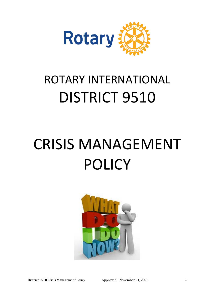

## ROTARY INTERNATIONAL DISTRICT 9510

# CRISIS MANAGEMENT POLICY

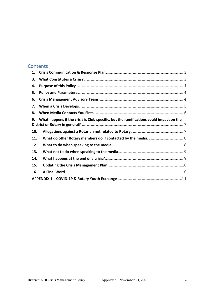#### Contents

| 1.  |                                                                                        |  |
|-----|----------------------------------------------------------------------------------------|--|
| 3.  |                                                                                        |  |
| 4.  |                                                                                        |  |
| 5.  |                                                                                        |  |
| 6.  |                                                                                        |  |
| 7.  |                                                                                        |  |
| 8.  |                                                                                        |  |
| 9.  | What happens if the crisis is Club specific, but the ramifications could impact on the |  |
| 10. |                                                                                        |  |
| 11. |                                                                                        |  |
| 12. |                                                                                        |  |
| 13. |                                                                                        |  |
| 14. |                                                                                        |  |
| 15. |                                                                                        |  |
| 16. |                                                                                        |  |
|     |                                                                                        |  |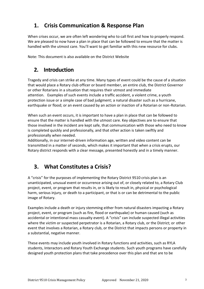## <span id="page-2-0"></span>**1. Crisis Communication & Response Plan**

When crises occur, we are often left wondering who to call first and how to properly respond. We are pleased to now have a plan in place that can be followed to ensure that the matter is handled with the utmost care. You'll want to get familiar with this new resource for clubs.

Note: This document is also available on the District Website

#### **2. Introduction**

Tragedy and crisis can strike at any time. Many types of event could be the cause of a situation that would place a Rotary club officer or board member, an entire club, the District Governor or other Rotarians in a situation that requires their utmost and immediate attention. Examples of such events include a traffic accident, a violent crime, a youth protection issue or a simple case of bad judgment; a natural disaster such as a hurricane, earthquake or flood; or an event caused by an action or inaction of a Rotarian or non-Rotarian.

When such an event occurs, it is important to have a plan in place that can be followed to ensure that the matter is handled with the utmost care. Key objectives are to ensure that those involved in the incident are kept safe, that communication with those who need to know is completed quickly and professionally, and that other action is taken swiftly and professionally when needed.

Additionally, in our internet-driven information age, written and video content can be transmitted in a matter of seconds, which makes it important that when a crisis erupts, our Rotary district responds with a clear message, presented honestly and in a timely manner.

## <span id="page-2-1"></span>**3. What Constitutes a Crisis?**

A "crisis" for the purposes of implementing the Rotary District 9510 crisis plan is an unanticipated, unusual event or occurrence arising out of, or closely related to, a Rotary Club project, event, or program that results in, or is likely to result in, physical or psychological harm, serious injury, or death to a participant, or that is or can be detrimental to the public image of Rotary.

Examples include a death or injury stemming either from natural disasters impacting a Rotary project, event, or program (such as fire, flood or earthquake) or human caused (such as accidental or intentional mass casualty event). A "crisis" can include suspected illegal activities where the victim or suspected perpetrator is a Rotarian, a Rotary club, or the District; or other event that involves a Rotarian, a Rotary club, or the District that impacts persons or property in a substantial, negative manner.

These events may include youth involved in Rotary functions and activities, such as RYLA students, Interactors and Rotary Youth Exchange students. Such youth programs have carefully designed youth protection plans that take precedence over this plan and that are to be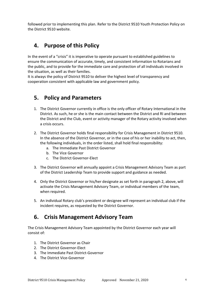followed prior to implementing this plan. Refer to the District 9510 Youth Protection Policy on the District 9510 website.

#### <span id="page-3-0"></span>**4. Purpose of this Policy**

In the event of a "crisis" it is imperative to operate pursuant to established guidelines to ensure the communication of accurate, timely, and consistent information to Rotarians and the public, and to provide for the immediate care and protection of all individuals involved in the situation, as well as their families.

It is always the policy of District 9510 to deliver the highest level of transparency and cooperation consistent with applicable law and government policy.

#### <span id="page-3-1"></span>**5. Policy and Parameters**

- 1. The District Governor currently in office is the only officer of Rotary International in the District. As such, he or she is the main contact between the District and RI and between the District and the Club, event or activity manager of the Rotary activity involved when a crisis occurs.
- 2. The District Governor holds final responsibility for Crisis Management in District 9510. In the absence of the District Governor, or in the case of his or her inability to act, then, the following individuals, in the order listed, shall hold final responsibility:
	- a. The Immediate Past District Governor
	- b. The Vice Governor
	- c. The District Governor-Elect
- 3. The District Governor will annually appoint a Crisis Management Advisory Team as part of the District Leadership Team to provide support and guidance as needed.
- 4. Only the District Governor or his/her designate as set forth in paragraph 2, above, will activate the Crisis Management Advisory Team, or individual members of the team, when required.
- 5. An individual Rotary club's president or designee will represent an individual club if the incident requires, as requested by the District Governor.

#### <span id="page-3-2"></span>**6. Crisis Management Advisory Team**

The Crisis Management Advisory Team appointed by the District Governor each year will consist of:

- 1. The District Governor as Chair
- 2. The District Governor-Elect
- 3. The Immediate Past District-Governor
- 4. The District Vice-Governor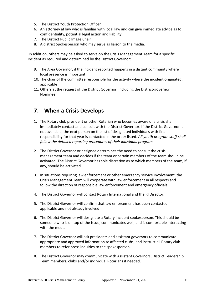- 5. The District Youth Protection Officer
- 6. An attorney at law who is familiar with local law and can give immediate advice as to confidentiality, potential legal action and liability
- 7. The District Public Image Chair
- 8. A district Spokesperson who may serve as liaison to the media.

In addition, others may be asked to serve on the Crisis Management Team for a specific incident as required and determined by the District Governor:

- 9. The Area Governor, if the incident reported happens in a distant community where local presence is important
- 10. The chair of the committee responsible for the activity where the incident originated, if applicable
- 11. Others at the request of the District Governor, including the District-governor Nominee.

#### <span id="page-4-0"></span>**7. When a Crisis Develops**

- 1. The Rotary club president or other Rotarian who becomes aware of a crisis shall immediately contact and consult with the District Governor. If the District Governor is not available, the next person on the list of designated individuals with final responsibility for that year is contacted in the order listed. *All youth program staff shall follow the detailed reporting procedures of their individual program.*
- 2. The District Governor or designee determines the need to consult the crisis management team and decides if the team or certain members of the team should be activated. The District Governor has sole discretion as to which members of the team, if any, should be activated.
- 3. In situations requiring law enforcement or other emergency service involvement, the Crisis Management Team will cooperate with law enforcement in all respects and follow the direction of responsible law enforcement and emergency officials.
- 4. The District Governor will contact Rotary International and the RI Director.
- 5. The District Governor will confirm that law enforcement has been contacted, if applicable and not already involved.
- 6. The District Governor will designate a Rotary incident spokesperson. This should be someone who is on top of the issue, communicates well, and is comfortable interacting with the media.
- 7. The District Governor will ask presidents and assistant governors to communicate appropriate and approved information to affected clubs, and instruct all Rotary club members to refer press inquiries to the spokesperson.
- 8. The District Governor may communicate with Assistant Governors, District Leadership Team members, clubs and/or individual Rotarians if needed.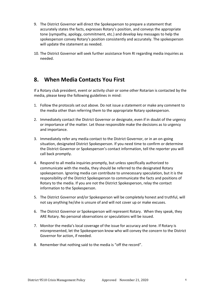- 9. The District Governor will direct the Spokesperson to prepare a statement that accurately states the facts, expresses Rotary's position, and conveys the appropriate tone (sympathy, apology, commitment, etc.) and develop key messages to help the spokesperson convey Rotary's position consistently and accurately. The spokesperson will update the statement as needed.
- 10. The District Governor will seek further assistance from RI regarding media inquiries as needed.

#### <span id="page-5-0"></span>**8. When Media Contacts You First**

If a Rotary club president, event or activity chair or some other Rotarian is contacted by the media, please keep the following guidelines in mind:

- 1. Follow the protocols set out above. Do not issue a statement or make any comment to the media other than referring them to the appropriate Rotary spokesperson.
- 2. Immediately contact the District Governor or designate, even if in doubt of the urgency or importance of the matter. Let those responsible make the decisions as to urgency and importance.
- 3. Immediately refer any media contact to the District Governor, or in an on-going situation, designated District Spokesperson. If you need time to confirm or determine the District Governor or Spokesperson's contact information, tell the reporter you will call back promptly.
- 4. Respond to all media inquiries promptly, but unless specifically authorized to communicate with the media, they should be referred to the designated Rotary spokesperson. Ignoring media can contribute to unnecessary speculation, but it is the responsibility of the District Spokesperson to communicate the facts and positions of Rotary to the media. If you are not the District Spokesperson, relay the contact information to the Spokesperson.
- 5. The District Governor and/or Spokesperson will be completely honest and truthful, will not say anything he/she is unsure of and will not cover up or make excuses.
- 6. The District Governor or Spokesperson will represent Rotary. When they speak, they ARE Rotary. No personal observations or speculations will be issued.
- 7. Monitor the media's local coverage of the issue for accuracy and tone. If Rotary is misrepresented, let the Spokesperson know who will convey the concern to the District Governor for action, if needed.
- 8. Remember that nothing said to the media is "off the record".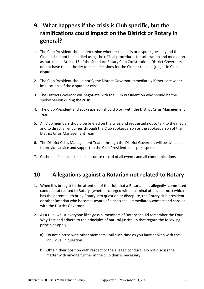## <span id="page-6-0"></span>**9. What happens if the crisis is Club specific, but the ramifications could impact on the District or Rotary in general?**

- 1. The Club President should determine whether the crisis or dispute goes beyond the Club and cannot be handled using the official procedures for arbitration and mediation as outlined in Article 16 of the Standard Rotary Club Constitution. District Governors do not have the authority to make decisions for the Club or to be a "judge" in Club disputes.
- 2. The Club President should notify the District Governor immediately if there are wider implications of the dispute or crisis.
- 3. The District Governor will negotiate with the Club President on who should be the spokesperson during the crisis.
- 4. The Club President and spokesperson should work with the District Crisis Management Team.
- 5. All Club members should be briefed on the crisis and requested not to talk to the media and to direct all enquiries through the Club spokesperson or the spokesperson of the District Crisis Management Team.
- 6. The District Crisis Management Team, through the District Governor, will be available to provide advice and support to the Club President and spokesperson.
- 7. Gather all facts and keep an accurate record of all events and all communications

#### <span id="page-6-1"></span>**10. Allegations against a Rotarian not related to Rotary**

- 1. When it is brought to the attention of the club that a Rotarian has allegedly committed conduct not related to Rotary (whether charged with a criminal offence or not) which has the potential to bring Rotary into question or disrepute, the Rotary club president or other Rotarian who becomes aware of a crisis shall immediately contact and consult with the District Governor.
- 2. As a rule, whilst everyone likes gossip, members of Rotary should remember the Four Way Test and adhere to the principles of natural justice. In that regard the following principles apply:
	- a) Do not discuss with other members until such time as you have spoken with the individual in question.
	- b) Obtain their position with respect to the alleged conduct. Do not discuss the matter with anyone further in the club than is necessary.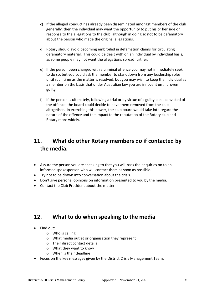- c) If the alleged conduct has already been disseminated amongst members of the club generally, then the individual may want the opportunity to put his or her side or response to the allegations to the club, although in doing so not to be defamatory about the person who made the original allegations.
- d) Rotary should avoid becoming embroiled in defamation claims for circulating defamatory material. This could be dealt with on an individual by individual basis, as some people may not want the allegations spread further.
- e) If the person been charged with a criminal offence you may not immediately seek to do so, but you could ask the member to standdown from any leadership roles until such time as the matter is resolved, but you may wish to keep the individual as a member on the basis that under Australian law you are innocent until proven guilty.
- f) If the person is ultimately, following a trial or by virtue of a guilty plea, convicted of the offence, the board could decide to have them removed from the club altogether. In exercising this power, the club board would take into regard the nature of the offence and the impact to the reputation of the Rotary club and Rotary more widely.

## <span id="page-7-0"></span>**11. What do other Rotary members do if contacted by the media.**

- Assure the person you are speaking to that you will pass the enquiries on to an informed spokesperson who will contact them as soon as possible.
- Try not to be drawn into conversation about the crisis.
- Don't give personal opinions on information presented to you by the media.
- Contact the Club President about the matter.

#### <span id="page-7-1"></span>**12. What to do when speaking to the media**

- Find out:
	- $\circ$  Who is calling
	- o What media outlet or organisation they represent
	- o Their direct contact details
	- o What they want to know
	- o When is their deadline
- Focus on the key messages given by the District Crisis Management Team.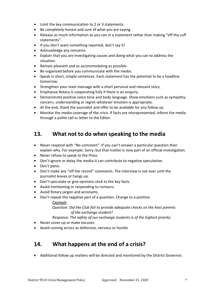- Limit the key communication to 2 or 3 statements.
- Be completely honest and sure of what you are saying.
- Release as much information as you can in a statement rather than making "off the cuff statements".
- If you don't want something reported, don't say it!
- Acknowledge any concerns.
- Explain that you are investigating causes and doing what you can to address the situation.
- Remain pleasant and as accommodating as possible.
- Be organised before you communicate with the media.
- Speak in short, simple sentences. Each statement has the potential to be a headline tomorrow.
- Strengthen your main message with a short personal and relevant story.
- Emphasise Rotary is cooperating fully if there is an enquiry.
- Demonstrate positive voice tone and body language. Show emotions such as sympathy, concern, understanding or regret-whatever emotion is appropriate.
- At the end, thank the journalist and offer to be available for any follow up.
- Monitor the media coverage of the crisis. If facts are misrepresented, inform the media through a polite call or letter to the Editor.

#### <span id="page-8-0"></span>**13. What not to do when speaking to the media**

- Never respond with "No comment". If you can't answer a particular question then explain why. For example: Sorry, but that matter is now part of an official investigation.
- Never refuse to speak to the Press
- Don't ignore or delay the media-it can contribute to negative speculation.
- Don't panic.
- Don't make any "off the record" comments. The interview is not over until the journalist leaves or hangs up.
- Don't speculate or give opinions-stick to the key facts.
- Avoid mentioning or responding to rumours.
- Avoid Rotary jargon and acronyms.
- Don't repeat the negative part of a question. Change to a positive.

#### *Example Question: Did the Club fail to provide adequate checks on the host parents of the exchange student?*

#### *Response: The safety of our exchange students is of the highest priority*.

- Never cover up or make excuses.
- Avoid coming across as defensive, nervous or hostile

#### <span id="page-8-1"></span>**14. What happens at the end of a crisis?**

• Additional follow up matters will be directed and monitored by the District Governor.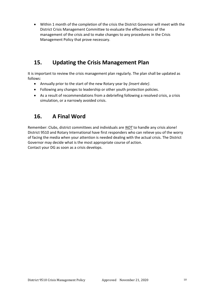• Within 1 month of the completion of the crisis the District Governor will meet with the District Crisis Management Committee to evaluate the effectiveness of the management of the crisis and to make changes to any procedures in the Crisis Management Policy that prove necessary.

#### <span id="page-9-0"></span>**15. Updating the Crisis Management Plan**

It is important to review the crisis management plan regularly. The plan shall be updated as follows:

- Annually prior to the start of the new Rotary year by *{insert date}*.
- Following any changes to leadership or other youth protection policies.
- As a result of recommendations from a debriefing following a resolved crisis, a crisis simulation, or a narrowly avoided crisis.

## <span id="page-9-1"></span>**16. A Final Word**

Remember: Clubs, district committees and individuals are *NOT* to handle any crisis alone! District 9510 and Rotary International have first responders who can relieve you of the worry of facing the media when your attention is needed dealing with the actual crisis. The District Governor may decide what is the most appropriate course of action. Contact your DG as soon as a crisis develops.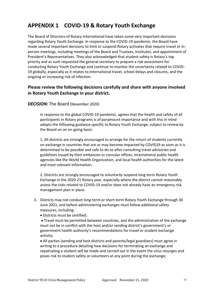## <span id="page-10-0"></span>**APPENDIX 1 COVID-19 & Rotary Youth Exchange**

The Board of Directors of Rotary International have taken some very important decisions regarding Rotary Youth Exchange. In response to the COVID-19 pandemic, the Board have made several important decisions to limit or suspend Rotary activates that require travel or inperson meetings, including meetings of the Board and Trustees, Institutes, and appointment of President's Representatives. They also acknowledged that student safety is Rotary's top priority and as such requested the general secretary to prepare a risk assessment for conducting Rotary Youth Exchange and continue to monitor the uncertainty related to COVID-19 globally, especially as it relates to international travel, school delays and closures, and the ongoing or increasing risk of infection.

#### **Please review the following decisions carefully and share with anyone involved in Rotary Youth Exchange in your district.**

#### *DECISION:* The Board (November 2020)

in response to the global COVID-19 pandemic, agrees that the health and safety of all participants in Rotary programs is of paramount importance and with this in mind adopts the following guidance specific to Rotary Youth Exchange, subject to review by the Board on an on-going basis:

1. All districts are strongly encouraged to arrange for the return of students currently on exchange in countries that are or may become impacted by COVID19 as soon as it is determined to be possible and safe to do so after consulting travel advisories and guidelines issued by their embassies or consular offices, international public health agencies like the World Health Organization, and local health authorities for the latest and most relevant information.

2. Districts are strongly encouraged to voluntarily suspend long-term Rotary Youth Exchange in the 2020-21 Rotary year, especially where the district cannot reasonably assess the risks related to COVID-19 and/or does not already have an emergency risk management plan in place.

- 3. Districts may not conduct long-term or short-term Rotary Youth Exchange through 30 June 2021, and before administering exchanges must follow additional safety measures, including:
	- Districts must be certified;

• Travel must be permitted between countries, and the administration of the exchange must not be in conflict with the host and/or sending district's government's or government health authority's recommendations for travel or student exchange activity;

• All parties (sending and host districts and parents/legal guardians) must agree in writing to a procedure detailing how decisions for terminating an exchange and repatriating a student will be made and carried out in the event the virus resurges and poses risk to student safety or volunteers at any point during the exchange;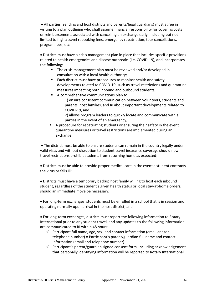• All parties (sending and host districts and parents/legal guardians) must agree in writing to a plan outlining who shall assume financial responsibility for covering costs or reimbursements associated with cancelling an exchange early, including but not limited to flight/travel rebooking fees, emergency repatriation, tour cancellations, program fees, etc.;

• Districts must have a crisis management plan in place that includes specific provisions related to health emergencies and disease outbreaks (i.e. COVID-19), and incorporates the following:

- The crisis management plan must be reviewed and/or developed in consultation with a local health authority;
- Each district must have procedures to monitor health and safety developments related to COVID-19, such as travel restrictions and quarantine measures impacting both inbound and outbound students;
- A comprehensive communications plan to:
	- 1) ensure consistent communication between volunteers, students and parents, host families, and RI about important developments related to COVID-19, and
	- 2) allows program leaders to quickly locate and communicate with all parties in the event of an emergency;
- A procedure for repatriating students or ensuring their safety in the event quarantine measures or travel restrictions are implemented during an exchange;

• The district must be able to ensure students can remain in the country legally under valid visas and without disruption to student travel insurance coverage should new travel restrictions prohibit students from returning home as expected;

• Districts must be able to provide proper medical care in the event a student contracts the virus or falls ill;

• Districts must have a temporary backup host family willing to host each inbound student, regardless of the student's given health status or local stay-at-home orders, should an immediate move be necessary;

• For long-term exchanges, students must be enrolled in a school that is in session and operating normally upon arrival in the host district; and

• For long-term exchanges, districts must report the following information to Rotary International prior to any student travel, and any updates to the following information are communicated to RI within 48 hours:

- $\checkmark$  Participant full name, age, sex, and contact information (email and/or telephone number) o Participant's parent/guardian full name and contact information (email and telephone number)
- $\checkmark$  Participant's parent/guardian signed consent form, including acknowledgement that personally identifying information will be reported to Rotary International